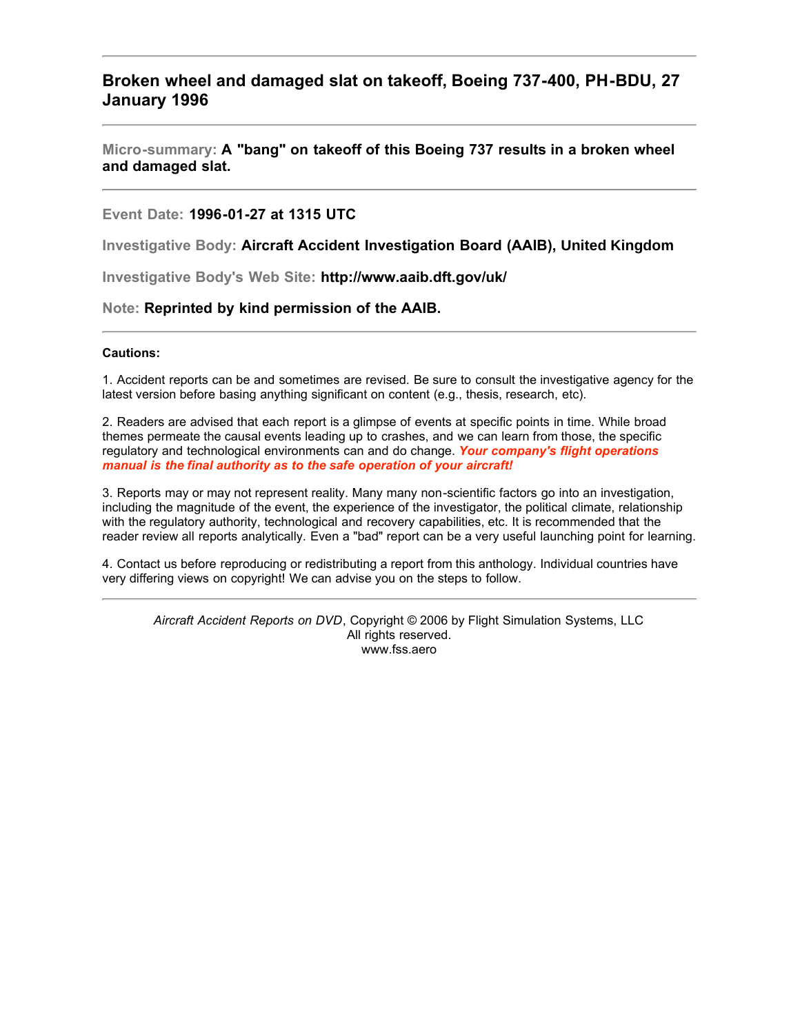### **Broken wheel and damaged slat on takeoff, Boeing 737-400, PH-BDU, 27 January 1996**

**Micro-summary: A "bang" on takeoff of this Boeing 737 results in a broken wheel and damaged slat.**

#### **Event Date: 1996-01-27 at 1315 UTC**

**Investigative Body: Aircraft Accident Investigation Board (AAIB), United Kingdom**

**Investigative Body's Web Site: http://www.aaib.dft.gov/uk/**

#### **Note: Reprinted by kind permission of the AAIB.**

#### **Cautions:**

1. Accident reports can be and sometimes are revised. Be sure to consult the investigative agency for the latest version before basing anything significant on content (e.g., thesis, research, etc).

2. Readers are advised that each report is a glimpse of events at specific points in time. While broad themes permeate the causal events leading up to crashes, and we can learn from those, the specific regulatory and technological environments can and do change. *Your company's flight operations manual is the final authority as to the safe operation of your aircraft!*

3. Reports may or may not represent reality. Many many non-scientific factors go into an investigation, including the magnitude of the event, the experience of the investigator, the political climate, relationship with the regulatory authority, technological and recovery capabilities, etc. It is recommended that the reader review all reports analytically. Even a "bad" report can be a very useful launching point for learning.

4. Contact us before reproducing or redistributing a report from this anthology. Individual countries have very differing views on copyright! We can advise you on the steps to follow.

*Aircraft Accident Reports on DVD*, Copyright © 2006 by Flight Simulation Systems, LLC All rights reserved. www.fss.aero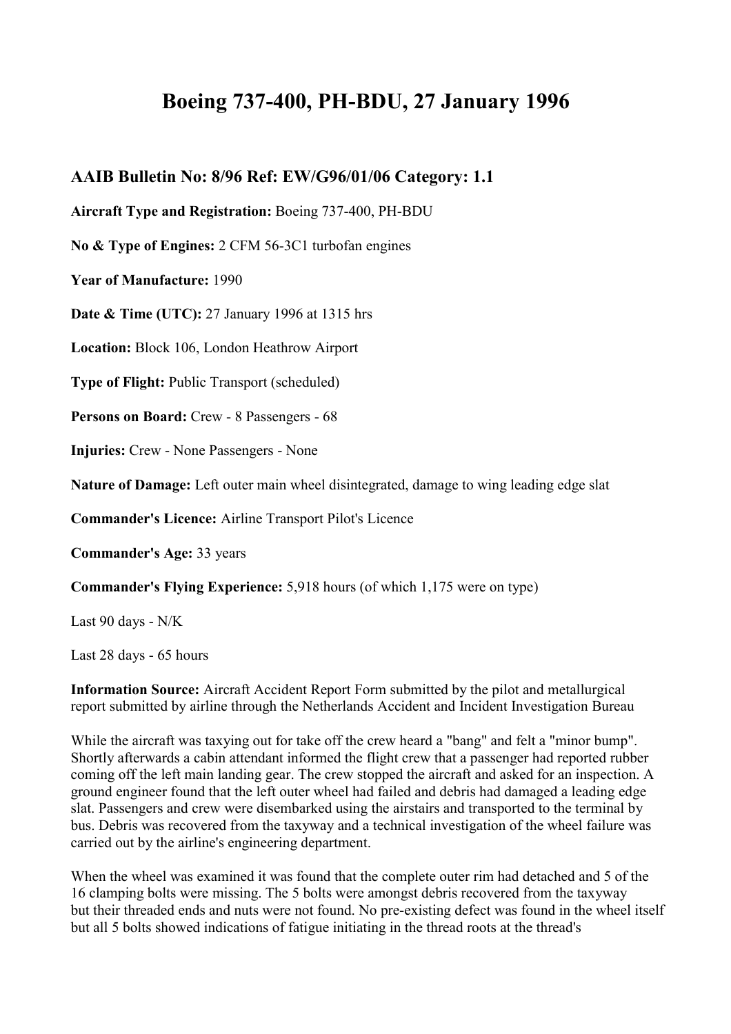# **Boeing 737-400, PH-BDU, 27 January 1996**

## **AAIB Bulletin No: 8/96 Ref: EW/G96/01/06 Category: 1.1**

**Aircraft Type and Registration:** Boeing 737-400, PH-BDU

**No & Type of Engines:** 2 CFM 56-3C1 turbofan engines

**Year of Manufacture:** 1990

**Date & Time (UTC):** 27 January 1996 at 1315 hrs

**Location:** Block 106, London Heathrow Airport

**Type of Flight:** Public Transport (scheduled)

**Persons on Board:** Crew - 8 Passengers - 68

**Injuries:** Crew - None Passengers - None

**Nature of Damage:** Left outer main wheel disintegrated, damage to wing leading edge slat

**Commander's Licence:** Airline Transport Pilot's Licence

**Commander's Age:** 33 years

**Commander's Flying Experience:** 5,918 hours (of which 1,175 were on type)

Last 90 days - N/K

Last 28 days - 65 hours

**Information Source:** Aircraft Accident Report Form submitted by the pilot and metallurgical report submitted by airline through the Netherlands Accident and Incident Investigation Bureau

While the aircraft was taxying out for take off the crew heard a "bang" and felt a "minor bump". Shortly afterwards a cabin attendant informed the flight crew that a passenger had reported rubber coming off the left main landing gear. The crew stopped the aircraft and asked for an inspection. A ground engineer found that the left outer wheel had failed and debris had damaged a leading edge slat. Passengers and crew were disembarked using the airstairs and transported to the terminal by bus. Debris was recovered from the taxyway and a technical investigation of the wheel failure was carried out by the airline's engineering department.

When the wheel was examined it was found that the complete outer rim had detached and 5 of the 16 clamping bolts were missing. The 5 bolts were amongst debris recovered from the taxyway but their threaded ends and nuts were not found. No pre-existing defect was found in the wheel itself but all 5 bolts showed indications of fatigue initiating in the thread roots at the thread's